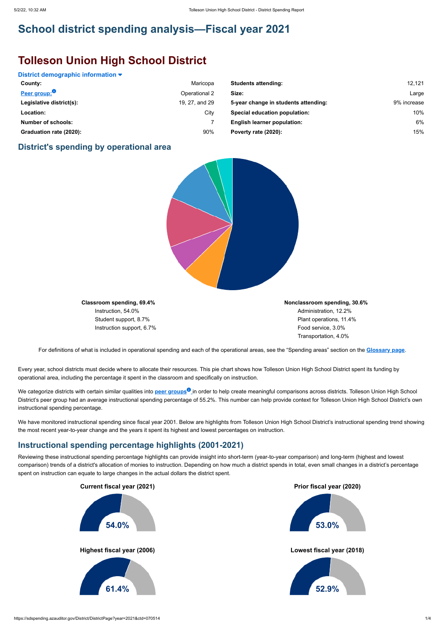## **School district spending analysis—Fiscal year 2021**

# **Tolleson Union High School District**

#### **District demographic information**

#### **District's spending by operational area**



**Classroom spending, 69.4%** Instruction, 54.0% Student support, 8.7% Instruction support, 6.7% **Nonclassroom spending, 30.6%** Administration, 12.2% Plant operations, 11.4% Food service, 3.0% Transportation, 4.0%

We categorize districts with certain similar qualities into <mark>peer groups<sup>o</sup> i</mark>n order to help create meaningful comparisons across districts. Tolleson Union High School District's peer group had an average instructional spending percentage of 55.2%. This number can help provide context for Tolleson Union High School District's own instructional spending percentage.

For definitions of what is included in operational spending and each of the operational areas, see the "Spending areas" section on the **[Glossary page](https://sdspending.azauditor.gov/Glossary?year=2021)**.

We have monitored instructional spending since fiscal year 2001. Below are highlights from Tolleson Union High School District's instructional spending trend showing the most recent year-to-year change and the years it spent its highest and lowest percentages on instruction.

Every year, school districts must decide where to allocate their resources. This pie chart shows how Tolleson Union High School District spent its funding by operational area, including the percentage it spent in the classroom and specifically on instruction.

| County:                   | Maricopa       | <b>Students attending:</b>           | 12,121      |
|---------------------------|----------------|--------------------------------------|-------------|
| Peer group:               | Operational 2  | Size:                                | Large       |
| Legislative district(s):  | 19, 27, and 29 | 5-year change in students attending: | 9% increase |
| Location:                 | City           | <b>Special education population:</b> | 10%         |
| <b>Number of schools:</b> |                | <b>English learner population:</b>   | 6%          |
| Graduation rate (2020):   | 90%            | Poverty rate (2020):                 | 15%         |

#### **Instructional spending percentage highlights (2001-2021)**

Reviewing these instructional spending percentage highlights can provide insight into short-term (year-to-year comparison) and long-term (highest and lowest comparison) trends of a district's allocation of monies to instruction. Depending on how much a district spends in total, even small changes in a district's percentage spent on instruction can equate to large changes in the actual dollars the district spent.

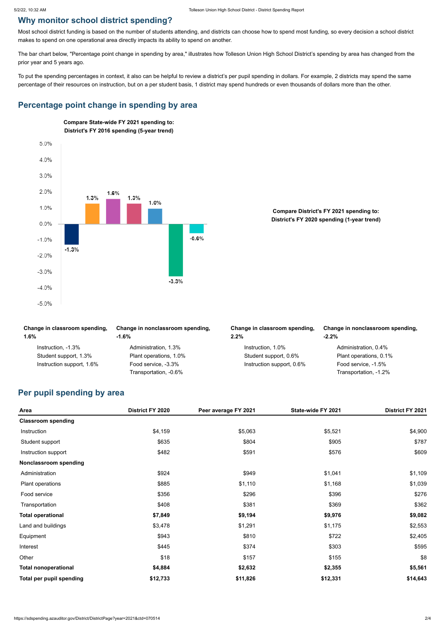### **Why monitor school district spending?**

Most school district funding is based on the number of students attending, and districts can choose how to spend most funding, so every decision a school district makes to spend on one operational area directly impacts its ability to spend on another.

The bar chart below, "Percentage point change in spending by area," illustrates how Tolleson Union High School District's spending by area has changed from the prior year and 5 years ago.

To put the spending percentages in context, it also can be helpful to review a district's per pupil spending in dollars. For example, 2 districts may spend the same percentage of their resources on instruction, but on a per student basis, 1 district may spend hundreds or even thousands of dollars more than the other.

#### **Percentage point change in spending by area**

| Change in classroom spending,<br>1.6% | Change in nonclassroom spending,<br>$-1.6\%$ | Change in classroom spending,<br>$2.2\%$ | Change in nonclassroom spending,<br>$-2.2%$ |
|---------------------------------------|----------------------------------------------|------------------------------------------|---------------------------------------------|
| Instruction, -1.3%                    | Administration, 1.3%                         | Instruction, 1.0%                        | Administration, 0.4%                        |
| Student support, 1.3%                 | Plant operations, 1.0%                       | Student support, 0.6%                    | Plant operations, 0.1%                      |
| Instruction support, 1.6%             | Food service, -3.3%                          | Instruction support, 0.6%                | Food service, -1.5%                         |
|                                       | Transportation, -0.6%                        |                                          | Transportation, -1.2%                       |

#### **Per pupil spending by area**

| Area                        | <b>District FY 2020</b> | Peer average FY 2021 | State-wide FY 2021 | District FY 2021 |
|-----------------------------|-------------------------|----------------------|--------------------|------------------|
| <b>Classroom spending</b>   |                         |                      |                    |                  |
| Instruction                 | \$4,159                 | \$5,063              | \$5,521            | \$4,900          |
| Student support             | \$635                   | \$804                | \$905              | \$787            |
| Instruction support         | \$482                   | \$591                | \$576              | \$609            |
| Nonclassroom spending       |                         |                      |                    |                  |
| Administration              | \$924                   | \$949                | \$1,041            | \$1,109          |
| Plant operations            | \$885                   | \$1,110              | \$1,168            | \$1,039          |
| Food service                | \$356                   | \$296                | \$396              | \$276            |
| Transportation              | \$408                   | \$381                | \$369              | \$362            |
| <b>Total operational</b>    | \$7,849                 | \$9,194              | \$9,976            | \$9,082          |
| Land and buildings          | \$3,478                 | \$1,291              | \$1,175            | \$2,553          |
| Equipment                   | \$943                   | \$810                | \$722              | \$2,405          |
| Interest                    | \$445                   | \$374                | \$303              | \$595            |
| Other                       | \$18                    | \$157                | \$155              | \$8              |
| <b>Total nonoperational</b> | \$4,884                 | \$2,632              | \$2,355            | \$5,561          |
| Total per pupil spending    | \$12,733                | \$11,826             | \$12,331           | \$14,643         |



**Compare District's FY 2021 spending to: District's FY 2020 spending (1-year trend)**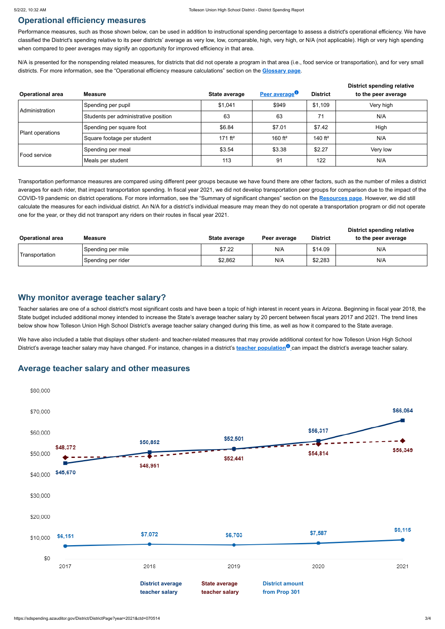### **Operational efficiency measures**

Performance measures, such as those shown below, can be used in addition to instructional spending percentage to assess a district's operational efficiency. We have classified the District's spending relative to its peer districts' average as very low, low, comparable, high, very high, or N/A (not applicable). High or very high spending when compared to peer averages may signify an opportunity for improved efficiency in that area.

N/A is presented for the nonspending related measures, for districts that did not operate a program in that area (i.e., food service or transportation), and for very small districts. For more information, see the "Operational efficiency measure calculations" section on the **[Glossary page](https://sdspending.azauditor.gov/Glossary?year=2021)**.

We have also included a table that displays other student- and teacher-related measures that may provide additional context for how Tolleson Union High School District's average teacher salary may have changed. For instance, changes in a district's **teacher population** can impact the district's average teacher salary.

Transportation performance measures are compared using different peer groups because we have found there are other factors, such as the number of miles a district averages for each rider, that impact transportation spending. In fiscal year 2021, we did not develop transportation peer groups for comparison due to the impact of the COVID-19 pandemic on district operations. For more information, see the "Summary of significant changes" section on the **[Resources page](https://sdspending.azauditor.gov/Resources?year=2021)**. However, we did still calculate the measures for each individual district. An N/A for a district's individual measure may mean they do not operate a transportation program or did not operate one for the year, or they did not transport any riders on their routes in fiscal year 2021.

|                         |                                      |                     |                           |                 | <b>District spending relative</b> |
|-------------------------|--------------------------------------|---------------------|---------------------------|-----------------|-----------------------------------|
| <b>Operational area</b> | <b>Measure</b>                       | State average       | Peer average <sup>o</sup> | <b>District</b> | to the peer average               |
| Administration          | Spending per pupil                   | \$1,041             | \$949                     | \$1,109         | Very high                         |
|                         | Students per administrative position | 63                  | 63                        | 71              | N/A                               |
| Plant operations        | Spending per square foot             | \$6.84              | \$7.01                    | \$7.42          | High                              |
|                         | Square footage per student           | 171 ft <sup>2</sup> | 160 $ft^2$                | 140 $ft^2$      | N/A                               |
| Food service            | Spending per meal                    | \$3.54              | \$3.38                    | \$2.27          | Very low                          |
|                         | Meals per student                    | 113                 | 91                        | 122             | N/A                               |

|                         |                    |               |              |                 | <b>District spending relative</b> |  |  |
|-------------------------|--------------------|---------------|--------------|-----------------|-----------------------------------|--|--|
| <b>Operational area</b> | Measure            | State average | Peer average | <b>District</b> | to the peer average               |  |  |
| Transportation          | Spending per mile  | \$7.22        | N/A          | \$14.09         | N/A                               |  |  |
|                         | Spending per rider | \$2,862       | N/A          | \$2,283         | N/A                               |  |  |

#### **Why monitor average teacher salary?**

Teacher salaries are one of a school district's most significant costs and have been a topic of high interest in recent years in Arizona. Beginning in fiscal year 2018, the State budget included additional money intended to increase the State's average teacher salary by 20 percent between fiscal years 2017 and 2021. The trend lines below show how Tolleson Union High School District's average teacher salary changed during this time, as well as how it compared to the State average.

#### **Average teacher salary and other measures**



\$30,000

\$20,000